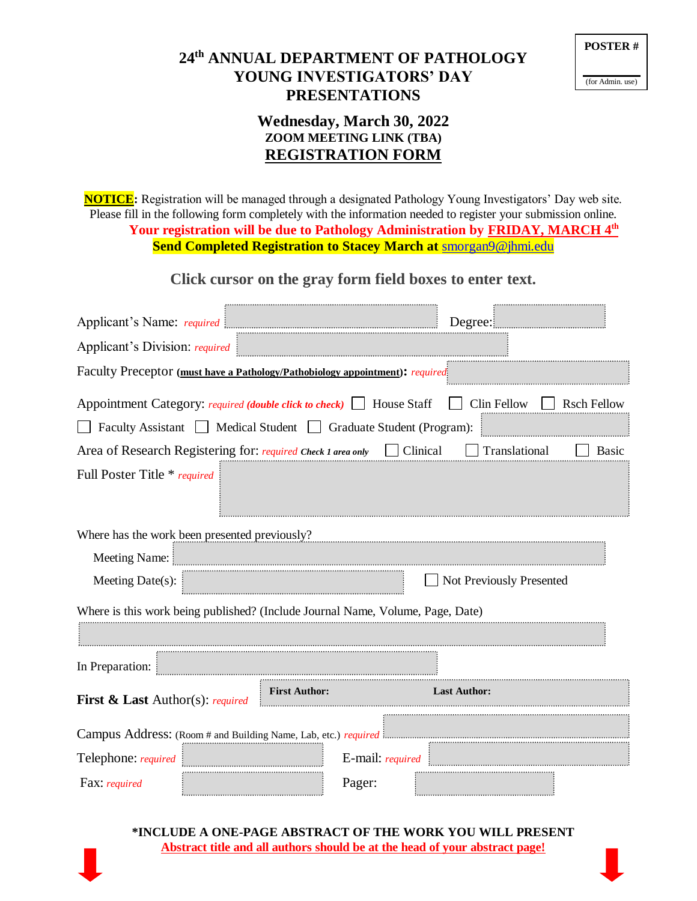## **24th ANNUAL DEPARTMENT OF PATHOLOGY YOUNG INVESTIGATORS' DAY PRESENTATIONS**

| <b>POSTER#</b> |  |
|----------------|--|
|                |  |

(for Admin. use)

## **Wednesday, March 30, 2022 ZOOM MEETING LINK (TBA) REGISTRATION FORM**

**NOTICE:** Registration will be managed through a designated Pathology Young Investigators' Day web site. Please fill in the following form completely with the information needed to register your submission online. **Your registration will be due to Pathology Administration by FRIDAY, MARCH 4 th Send Completed Registration to Stacey March at** [smorgan9@jhmi.edu](mailto:smorgan9@jhmi.edu)

## **Click cursor on the gray form field boxes to enter text.**

|                                                                                                           |                                                                              |                  | Degree:                  |              |  |  |
|-----------------------------------------------------------------------------------------------------------|------------------------------------------------------------------------------|------------------|--------------------------|--------------|--|--|
| Applicant's Division: required                                                                            |                                                                              |                  |                          |              |  |  |
| Faculty Preceptor (must have a Pathology/Pathobiology appointment): required                              |                                                                              |                  |                          |              |  |  |
| Appointment Category: required (double click to check)   House Staff<br>Clin Fellow<br><b>Rsch Fellow</b> |                                                                              |                  |                          |              |  |  |
| Faculty Assistant Medical Student   Graduate Student (Program):                                           |                                                                              |                  |                          |              |  |  |
|                                                                                                           | Area of Research Registering for: required Check 1 area only $\Box$ Clinical |                  | Translational            | <b>Basic</b> |  |  |
| Full Poster Title * required                                                                              |                                                                              |                  |                          |              |  |  |
| Where has the work been presented previously?<br>Meeting Name:                                            |                                                                              |                  |                          |              |  |  |
| Meeting Date(s):                                                                                          |                                                                              |                  | Not Previously Presented |              |  |  |
| Where is this work being published? (Include Journal Name, Volume, Page, Date)                            |                                                                              |                  |                          |              |  |  |
|                                                                                                           |                                                                              |                  |                          |              |  |  |
| In Preparation:                                                                                           |                                                                              |                  |                          |              |  |  |
| <b>First &amp; Last</b> Author(s): required                                                               | <b>First Author:</b>                                                         |                  | <b>Last Author:</b>      |              |  |  |
| Campus Address: (Room # and Building Name, Lab, etc.) required i                                          |                                                                              |                  |                          |              |  |  |
| Telephone: required                                                                                       |                                                                              | E-mail: required |                          |              |  |  |
| Fax: required                                                                                             |                                                                              | Pager:           |                          |              |  |  |

**\*INCLUDE A ONE-PAGE ABSTRACT OF THE WORK YOU WILL PRESENT Abstract title and all authors should be at the head of your abstract page!**